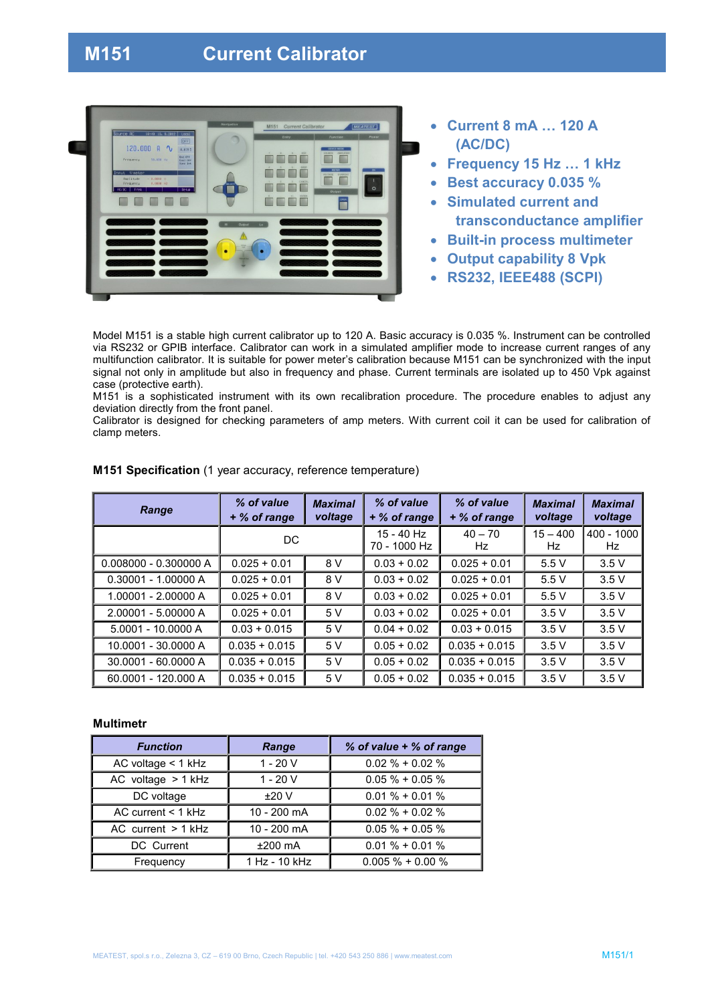# **M151 Current Calibrator**



- **Current 8 mA … 120 A (AC/DC)**
- **Frequency 15 Hz … 1 kHz**
- **Best accuracy 0.035 %**
- **Simulated current and transconductance amplifier**
- **Built-in process multimeter**
- **Output capability 8 Vpk**
- **RS232, IEEE488 (SCPI)**

Model M151 is a stable high current calibrator up to 120 A. Basic accuracy is 0.035 %. Instrument can be controlled via RS232 or GPIB interface. Calibrator can work in a simulated amplifier mode to increase current ranges of any multifunction calibrator. It is suitable for power meter's calibration because M151 can be synchronized with the input signal not only in amplitude but also in frequency and phase. Current terminals are isolated up to 450 Vpk against case (protective earth).

M151 is a sophisticated instrument with its own recalibration procedure. The procedure enables to adjust any deviation directly from the front panel.

Calibrator is designed for checking parameters of amp meters. With current coil it can be used for calibration of clamp meters.

| Range                   | % of value<br>+ % of range | <b>Maximal</b><br>voltage | % of value<br>+ % of range | % of value<br>+ % of range | <b>Maximal</b><br>voltage | <b>Maximal</b><br>voltage |
|-------------------------|----------------------------|---------------------------|----------------------------|----------------------------|---------------------------|---------------------------|
|                         | DC.                        |                           | 15 - 40 Hz<br>70 - 1000 Hz | $40 - 70$<br>Hz.           | $15 - 400$<br>Hz.         | $400 - 1000$<br>Hz.       |
| $0.008000 - 0.300000 A$ | $0.025 + 0.01$             | 8 V                       | $0.03 + 0.02$              | $0.025 + 0.01$             | 5.5V                      | 3.5V                      |
| $0.30001 - 1.00000 A$   | $0.025 + 0.01$             | 8 V                       | $0.03 + 0.02$              | $0.025 + 0.01$             | 5.5V                      | 3.5V                      |
| 1.00001 - 2.00000 A     | $0.025 + 0.01$             | 8 V                       | $0.03 + 0.02$              | $0.025 + 0.01$             | 5.5V                      | 3.5V                      |
| 2.00001 - 5.00000 A     | $0.025 + 0.01$             | 5V                        | $0.03 + 0.02$              | $0.025 + 0.01$             | 3.5V                      | 3.5V                      |
| 5.0001 - 10.0000 A      | $0.03 + 0.015$             | 5V                        | $0.04 + 0.02$              | $0.03 + 0.015$             | 3.5V                      | 3.5V                      |
| 10.0001 - 30.0000 A     | $0.035 + 0.015$            | 5V                        | $0.05 + 0.02$              | $0.035 + 0.015$            | 3.5V                      | 3.5V                      |
| 30.0001 - 60.0000 A     | $0.035 + 0.015$            | 5 V                       | $0.05 + 0.02$              | $0.035 + 0.015$            | 3.5V                      | 3.5V                      |
| 60.0001 - 120.000 A     | $0.035 + 0.015$            | 5 V                       | $0.05 + 0.02$              | $0.035 + 0.015$            | 3.5V                      | 3.5V                      |

### **M151 Specification** (1 year accuracy, reference temperature)

#### **Multimetr**

| <b>Function</b>      | Range         | % of value + % of range |  |
|----------------------|---------------|-------------------------|--|
| AC voltage $<$ 1 kHz | $1 - 20V$     | $0.02 \% + 0.02 \%$     |  |
| AC voltage $> 1$ kHz | $1 - 20V$     | $0.05\% + 0.05\%$       |  |
| DC voltage           | ±20V          | $0.01\% + 0.01\%$       |  |
| AC current $<$ 1 kHz | 10 - 200 mA   | $0.02 \% + 0.02 \%$     |  |
| AC current $> 1$ kHz | 10 - 200 mA   | $0.05 \% + 0.05 \%$     |  |
| DC Current           | $±200$ mA     | $0.01\% + 0.01\%$       |  |
| Frequency            | 1 Hz - 10 kHz | $0.005\% + 0.00\%$      |  |